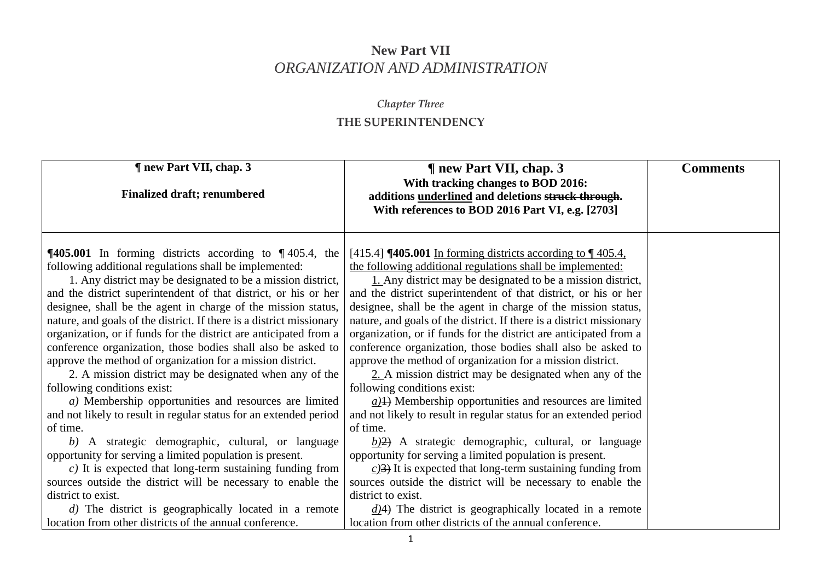## **New Part VII** *ORGANIZATION AND ADMINISTRATION*

## *Chapter Three* **THE SUPERINTENDENCY**

| <b>The Part VII, chap. 3</b><br><b>Finalized draft; renumbered</b>                                                                                                                                                                                                                                                                                                                                                                                                                                                                                                                                                                                                                                                                                                                                                                                                                                                                                                                                                                                                                                                                                                                                                                                    | <b>The Part VII, chap. 3</b><br>With tracking changes to BOD 2016:<br>additions underlined and deletions struck through.<br>With references to BOD 2016 Part VI, e.g. [2703]                                                                                                                                                                                                                                                                                                                                                                                                                                                                                                                                                                                                                                                                                                                                                                                                                                                                                                                                                                                                                                                                                                     | <b>Comments</b> |
|-------------------------------------------------------------------------------------------------------------------------------------------------------------------------------------------------------------------------------------------------------------------------------------------------------------------------------------------------------------------------------------------------------------------------------------------------------------------------------------------------------------------------------------------------------------------------------------------------------------------------------------------------------------------------------------------------------------------------------------------------------------------------------------------------------------------------------------------------------------------------------------------------------------------------------------------------------------------------------------------------------------------------------------------------------------------------------------------------------------------------------------------------------------------------------------------------------------------------------------------------------|----------------------------------------------------------------------------------------------------------------------------------------------------------------------------------------------------------------------------------------------------------------------------------------------------------------------------------------------------------------------------------------------------------------------------------------------------------------------------------------------------------------------------------------------------------------------------------------------------------------------------------------------------------------------------------------------------------------------------------------------------------------------------------------------------------------------------------------------------------------------------------------------------------------------------------------------------------------------------------------------------------------------------------------------------------------------------------------------------------------------------------------------------------------------------------------------------------------------------------------------------------------------------------|-----------------|
| <b><math>\P</math>405.001</b> In forming districts according to $\P$ 405.4, the<br>following additional regulations shall be implemented:<br>1. Any district may be designated to be a mission district,<br>and the district superintendent of that district, or his or her<br>designee, shall be the agent in charge of the mission status,<br>nature, and goals of the district. If there is a district missionary<br>organization, or if funds for the district are anticipated from a<br>conference organization, those bodies shall also be asked to<br>approve the method of organization for a mission district.<br>2. A mission district may be designated when any of the<br>following conditions exist:<br>a) Membership opportunities and resources are limited<br>and not likely to result in regular status for an extended period<br>of time.<br>b) A strategic demographic, cultural, or language<br>opportunity for serving a limited population is present.<br>$c$ ) It is expected that long-term sustaining funding from<br>sources outside the district will be necessary to enable the<br>district to exist.<br>d) The district is geographically located in a remote<br>location from other districts of the annual conference. | [415.4] $\P$ 405.001 In forming districts according to $\P$ 405.4,<br>the following additional regulations shall be implemented:<br>1. Any district may be designated to be a mission district,<br>and the district superintendent of that district, or his or her<br>designee, shall be the agent in charge of the mission status,<br>nature, and goals of the district. If there is a district missionary<br>organization, or if funds for the district are anticipated from a<br>conference organization, those bodies shall also be asked to<br>approve the method of organization for a mission district.<br>2. A mission district may be designated when any of the<br>following conditions exist:<br>$\underline{a}$ Membership opportunities and resources are limited<br>and not likely to result in regular status for an extended period<br>of time.<br>$b$ ) <sup>2</sup> ) A strategic demographic, cultural, or language<br>opportunity for serving a limited population is present.<br>$c$ ) It is expected that long-term sustaining funding from<br>sources outside the district will be necessary to enable the<br>district to exist.<br>$d/4$ ) The district is geographically located in a remote<br>location from other districts of the annual conference. |                 |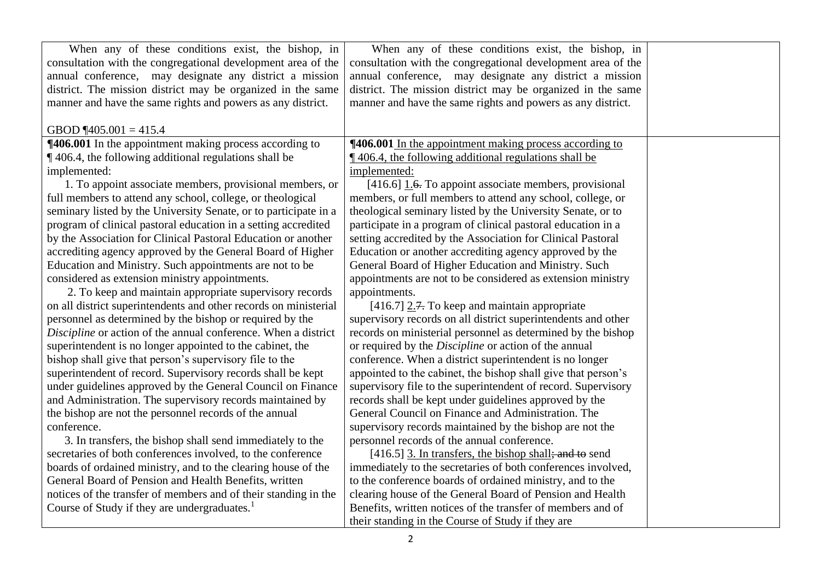| When any of these conditions exist, the bishop, in               | When any of these conditions exist, the bishop, in                   |  |
|------------------------------------------------------------------|----------------------------------------------------------------------|--|
| consultation with the congregational development area of the     | consultation with the congregational development area of the         |  |
| annual conference, may designate any district a mission          | annual conference, may designate any district a mission              |  |
| district. The mission district may be organized in the same      | district. The mission district may be organized in the same          |  |
| manner and have the same rights and powers as any district.      | manner and have the same rights and powers as any district.          |  |
|                                                                  |                                                                      |  |
| GBOD $\P$ 405.001 = 415.4                                        |                                                                      |  |
| ¶406.001 In the appointment making process according to          | <b>[406.001</b> In the appointment making process according to       |  |
| ¶406.4, the following additional regulations shall be            | 1406.4, the following additional regulations shall be                |  |
| implemented:                                                     | implemented:                                                         |  |
| 1. To appoint associate members, provisional members, or         | [416.6] $1.6$ . To appoint associate members, provisional            |  |
| full members to attend any school, college, or theological       | members, or full members to attend any school, college, or           |  |
| seminary listed by the University Senate, or to participate in a | theological seminary listed by the University Senate, or to          |  |
| program of clinical pastoral education in a setting accredited   | participate in a program of clinical pastoral education in a         |  |
| by the Association for Clinical Pastoral Education or another    | setting accredited by the Association for Clinical Pastoral          |  |
| accrediting agency approved by the General Board of Higher       | Education or another accrediting agency approved by the              |  |
| Education and Ministry. Such appointments are not to be          | General Board of Higher Education and Ministry. Such                 |  |
| considered as extension ministry appointments.                   | appointments are not to be considered as extension ministry          |  |
| 2. To keep and maintain appropriate supervisory records          | appointments.                                                        |  |
| on all district superintendents and other records on ministerial | [416.7] $2.7$ . To keep and maintain appropriate                     |  |
| personnel as determined by the bishop or required by the         | supervisory records on all district superintendents and other        |  |
| Discipline or action of the annual conference. When a district   | records on ministerial personnel as determined by the bishop         |  |
| superintendent is no longer appointed to the cabinet, the        | or required by the <i>Discipline</i> or action of the annual         |  |
| bishop shall give that person's supervisory file to the          | conference. When a district superintendent is no longer              |  |
| superintendent of record. Supervisory records shall be kept      | appointed to the cabinet, the bishop shall give that person's        |  |
| under guidelines approved by the General Council on Finance      | supervisory file to the superintendent of record. Supervisory        |  |
| and Administration. The supervisory records maintained by        | records shall be kept under guidelines approved by the               |  |
| the bishop are not the personnel records of the annual           | General Council on Finance and Administration. The                   |  |
| conference.                                                      | supervisory records maintained by the bishop are not the             |  |
| 3. In transfers, the bishop shall send immediately to the        | personnel records of the annual conference.                          |  |
| secretaries of both conferences involved, to the conference      | [416.5] $\overline{3}$ . In transfers, the bishop shall; and to send |  |
| boards of ordained ministry, and to the clearing house of the    | immediately to the secretaries of both conferences involved,         |  |
| General Board of Pension and Health Benefits, written            | to the conference boards of ordained ministry, and to the            |  |
| notices of the transfer of members and of their standing in the  | clearing house of the General Board of Pension and Health            |  |
| Course of Study if they are undergraduates. <sup>1</sup>         | Benefits, written notices of the transfer of members and of          |  |
|                                                                  | their standing in the Course of Study if they are                    |  |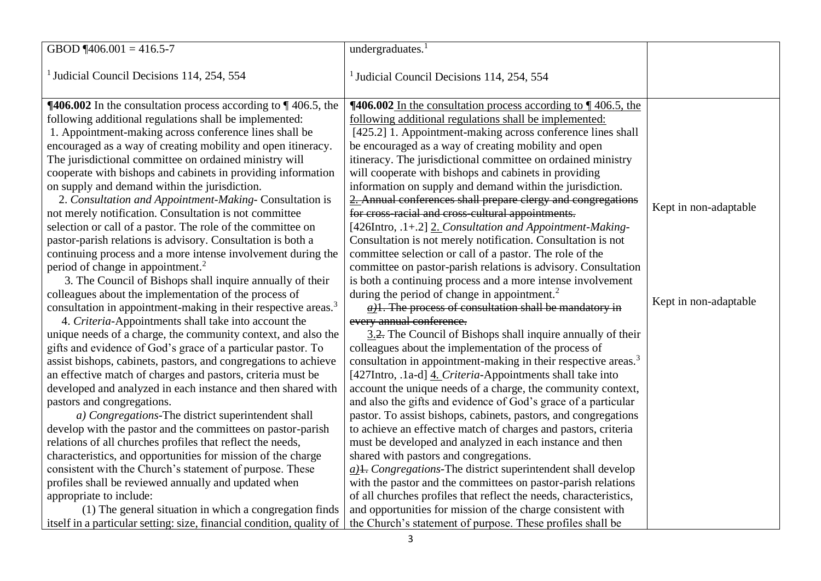| GBOD $\P$ 406.001 = 416.5-7                                                                                                                                                                                                                                                                                                                                                                                                                                                                                                                                                                                                                                                                                                                                                                                                                                                                                                                                                                                                                                                                                                          | undergraduates. $1$                                                                                                                                                                                                                                                                                                                                                                                                                                                                                                                                                                                                                                                                                                                                                                                                                                                                                                                                                                                                                                                                                             |                                                |
|--------------------------------------------------------------------------------------------------------------------------------------------------------------------------------------------------------------------------------------------------------------------------------------------------------------------------------------------------------------------------------------------------------------------------------------------------------------------------------------------------------------------------------------------------------------------------------------------------------------------------------------------------------------------------------------------------------------------------------------------------------------------------------------------------------------------------------------------------------------------------------------------------------------------------------------------------------------------------------------------------------------------------------------------------------------------------------------------------------------------------------------|-----------------------------------------------------------------------------------------------------------------------------------------------------------------------------------------------------------------------------------------------------------------------------------------------------------------------------------------------------------------------------------------------------------------------------------------------------------------------------------------------------------------------------------------------------------------------------------------------------------------------------------------------------------------------------------------------------------------------------------------------------------------------------------------------------------------------------------------------------------------------------------------------------------------------------------------------------------------------------------------------------------------------------------------------------------------------------------------------------------------|------------------------------------------------|
| <sup>1</sup> Judicial Council Decisions 114, 254, 554                                                                                                                                                                                                                                                                                                                                                                                                                                                                                                                                                                                                                                                                                                                                                                                                                                                                                                                                                                                                                                                                                | <sup>1</sup> Judicial Council Decisions 114, 254, 554                                                                                                                                                                                                                                                                                                                                                                                                                                                                                                                                                                                                                                                                                                                                                                                                                                                                                                                                                                                                                                                           |                                                |
| $\P$ 406.002 In the consultation process according to $\P$ 406.5, the<br>following additional regulations shall be implemented:<br>1. Appointment-making across conference lines shall be<br>encouraged as a way of creating mobility and open itineracy.<br>The jurisdictional committee on ordained ministry will<br>cooperate with bishops and cabinets in providing information<br>on supply and demand within the jurisdiction.<br>2. Consultation and Appointment-Making-Consultation is<br>not merely notification. Consultation is not committee<br>selection or call of a pastor. The role of the committee on<br>pastor-parish relations is advisory. Consultation is both a<br>continuing process and a more intense involvement during the<br>period of change in appointment. <sup>2</sup><br>3. The Council of Bishops shall inquire annually of their<br>colleagues about the implementation of the process of<br>consultation in appointment-making in their respective areas. <sup>3</sup><br>4. Criteria-Appointments shall take into account the<br>unique needs of a charge, the community context, and also the | $\P$ 406.002 In the consultation process according to $\P$ 406.5, the<br>following additional regulations shall be implemented:<br>[425.2] 1. Appointment-making across conference lines shall<br>be encouraged as a way of creating mobility and open<br>itineracy. The jurisdictional committee on ordained ministry<br>will cooperate with bishops and cabinets in providing<br>information on supply and demand within the jurisdiction.<br>2. Annual conferences shall prepare clergy and congregations<br>for cross-racial and cross-cultural appointments.<br>[426Intro, .1+.2] 2. Consultation and Appointment-Making-<br>Consultation is not merely notification. Consultation is not<br>committee selection or call of a pastor. The role of the<br>committee on pastor-parish relations is advisory. Consultation<br>is both a continuing process and a more intense involvement<br>during the period of change in appointment. <sup>2</sup><br>$a)$ 1. The process of consultation shall be mandatory in<br>every annual conference.<br>3.2. The Council of Bishops shall inquire annually of their | Kept in non-adaptable<br>Kept in non-adaptable |
| gifts and evidence of God's grace of a particular pastor. To<br>assist bishops, cabinets, pastors, and congregations to achieve<br>an effective match of charges and pastors, criteria must be<br>developed and analyzed in each instance and then shared with<br>pastors and congregations.<br>a) Congregations-The district superintendent shall<br>develop with the pastor and the committees on pastor-parish<br>relations of all churches profiles that reflect the needs,<br>characteristics, and opportunities for mission of the charge<br>consistent with the Church's statement of purpose. These<br>profiles shall be reviewed annually and updated when<br>appropriate to include:<br>(1) The general situation in which a congregation finds<br>itself in a particular setting: size, financial condition, quality of                                                                                                                                                                                                                                                                                                   | colleagues about the implementation of the process of<br>consultation in appointment-making in their respective areas. <sup>3</sup><br>[427Intro, .1a-d] 4. Criteria-Appointments shall take into<br>account the unique needs of a charge, the community context,<br>and also the gifts and evidence of God's grace of a particular<br>pastor. To assist bishops, cabinets, pastors, and congregations<br>to achieve an effective match of charges and pastors, criteria<br>must be developed and analyzed in each instance and then<br>shared with pastors and congregations.<br>$\underline{a}$ . Congregations-The district superintendent shall develop<br>with the pastor and the committees on pastor-parish relations<br>of all churches profiles that reflect the needs, characteristics,<br>and opportunities for mission of the charge consistent with<br>the Church's statement of purpose. These profiles shall be                                                                                                                                                                                  |                                                |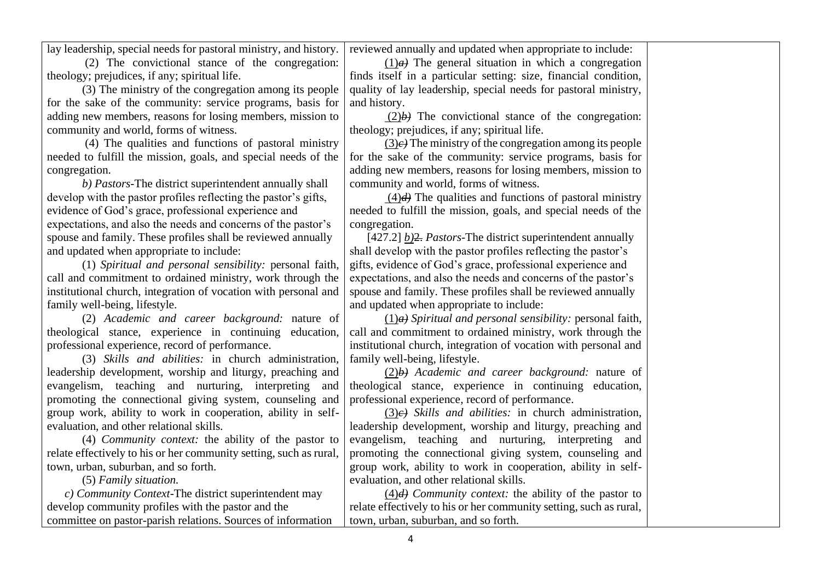lay leadership, special needs for pastoral ministry, and history. reviewed annually and updated when appropriate to include:

(2) The convictional stance of the congregation: theology; prejudices, if any; spiritual life.

(3) The ministry of the congregation among its people for the sake of the community: service programs, basis for adding new members, reasons for losing members, mission to community and world, forms of witness.

(4) The qualities and functions of pastoral ministry needed to fulfill the mission, goals, and special needs of the congregation.

 *b) Pastors*-The district superintendent annually shall develop with the pastor profiles reflecting the pastor's gifts, evidence of God's grace, professional experience and expectations, and also the needs and concerns of the pastor's spouse and family. These profiles shall be reviewed annually and updated when appropriate to include:

(1) *Spiritual and personal sensibility:* personal faith, call and commitment to ordained ministry, work through the institutional church, integration of vocation with personal and family well-being, lifestyle.

(2) *Academic and career background:* nature of theological stance, experience in continuing education, professional experience, record of performance.

(3) *Skills and abilities:* in church administration, leadership development, worship and liturgy, preaching and evangelism, teaching and nurturing, interpreting and promoting the connectional giving system, counseling and group work, ability to work in cooperation, ability in selfevaluation, and other relational skills.

(4) *Community context:* the ability of the pastor to relate effectively to his or her community setting, such as rural, town, urban, suburban, and so forth.

(5) *Family situation.*

*c) Community Context*-The district superintendent may develop community profiles with the pastor and the committee on pastor-parish relations. Sources of information

 $(1)$ <sup>a</sup>) The general situation in which a congregation finds itself in a particular setting: size, financial condition, quality of lay leadership, special needs for pastoral ministry, and history.

 $(2)$ **b**) The convictional stance of the congregation: theology; prejudices, if any; spiritual life.

 $(3)$  $\leftrightarrow$  The ministry of the congregation among its people for the sake of the community: service programs, basis for adding new members, reasons for losing members, mission to community and world, forms of witness.

(4)*d)* The qualities and functions of pastoral ministry needed to fulfill the mission, goals, and special needs of the congregation.

[427.2] *b)*2. *Pastors*-The district superintendent annually shall develop with the pastor profiles reflecting the pastor's gifts, evidence of God's grace, professional experience and expectations, and also the needs and concerns of the pastor's spouse and family. These profiles shall be reviewed annually and updated when appropriate to include:

(1)*a) Spiritual and personal sensibility:* personal faith, call and commitment to ordained ministry, work through the institutional church, integration of vocation with personal and family well-being, lifestyle.

(2)*b) Academic and career background:* nature of theological stance, experience in continuing education, professional experience, record of performance.

(3)*c) Skills and abilities:* in church administration, leadership development, worship and liturgy, preaching and evangelism, teaching and nurturing, interpreting and promoting the connectional giving system, counseling and group work, ability to work in cooperation, ability in selfevaluation, and other relational skills.

(4)*d) Community context:* the ability of the pastor to relate effectively to his or her community setting, such as rural, town, urban, suburban, and so forth.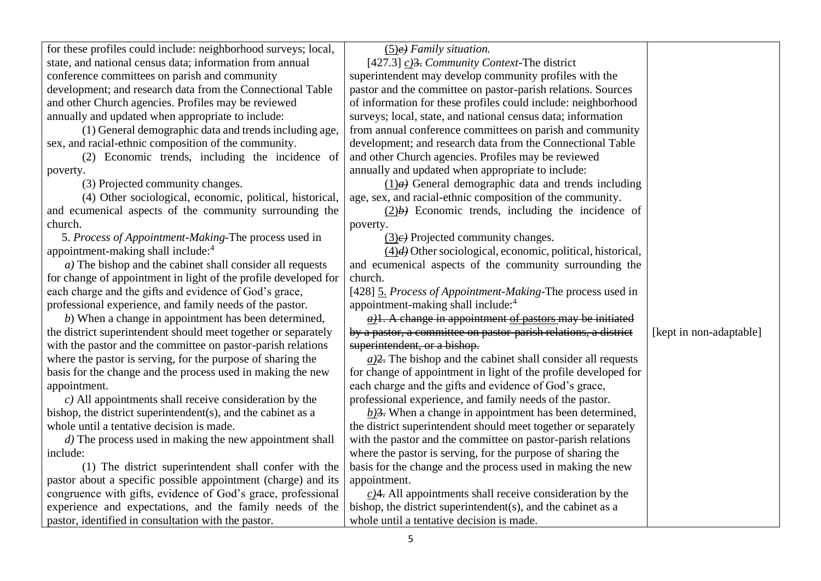| for these profiles could include: neighborhood surveys; local,  | $(5)e$ Family situation.                                                        |                         |
|-----------------------------------------------------------------|---------------------------------------------------------------------------------|-------------------------|
| state, and national census data; information from annual        | [427.3] $c$ )3. Community Context-The district                                  |                         |
| conference committees on parish and community                   | superintendent may develop community profiles with the                          |                         |
| development; and research data from the Connectional Table      | pastor and the committee on pastor-parish relations. Sources                    |                         |
| and other Church agencies. Profiles may be reviewed             | of information for these profiles could include: neighborhood                   |                         |
| annually and updated when appropriate to include:               | surveys; local, state, and national census data; information                    |                         |
| (1) General demographic data and trends including age,          | from annual conference committees on parish and community                       |                         |
| sex, and racial-ethnic composition of the community.            | development; and research data from the Connectional Table                      |                         |
| (2) Economic trends, including the incidence of                 | and other Church agencies. Profiles may be reviewed                             |                         |
| poverty.                                                        | annually and updated when appropriate to include:                               |                         |
| (3) Projected community changes.                                | $(1)$ a) General demographic data and trends including                          |                         |
| (4) Other sociological, economic, political, historical,        | age, sex, and racial-ethnic composition of the community.                       |                         |
| and ecumenical aspects of the community surrounding the         | $(2)$ b) Economic trends, including the incidence of                            |                         |
| church.                                                         | poverty.                                                                        |                         |
| 5. Process of Appointment-Making-The process used in            | $(3)$ e) Projected community changes.                                           |                         |
| appointment-making shall include: <sup>4</sup>                  | $\left(\frac{4}{d}\right)$ Other sociological, economic, political, historical, |                         |
| $a)$ The bishop and the cabinet shall consider all requests     | and ecumenical aspects of the community surrounding the                         |                         |
| for change of appointment in light of the profile developed for | church.                                                                         |                         |
| each charge and the gifts and evidence of God's grace,          | [428] 5. Process of Appointment-Making-The process used in                      |                         |
| professional experience, and family needs of the pastor.        | appointment-making shall include: <sup>4</sup>                                  |                         |
| b) When a change in appointment has been determined,            | $a)$ 1. A change in appointment of pastors may be initiated                     |                         |
| the district superintendent should meet together or separately  | by a pastor, a committee on pastor-parish relations, a district                 | [kept in non-adaptable] |
| with the pastor and the committee on pastor-parish relations    | superintendent, or a bishop.                                                    |                         |
| where the pastor is serving, for the purpose of sharing the     | $a)$ 2. The bishop and the cabinet shall consider all requests                  |                         |
| basis for the change and the process used in making the new     | for change of appointment in light of the profile developed for                 |                         |
| appointment.                                                    | each charge and the gifts and evidence of God's grace,                          |                         |
| $c$ ) All appointments shall receive consideration by the       | professional experience, and family needs of the pastor.                        |                         |
| bishop, the district superintendent(s), and the cabinet as a    | $\underline{b}$ . When a change in appointment has been determined,             |                         |
| whole until a tentative decision is made.                       | the district superintendent should meet together or separately                  |                         |
| $d$ ) The process used in making the new appointment shall      | with the pastor and the committee on pastor-parish relations                    |                         |
| include:                                                        | where the pastor is serving, for the purpose of sharing the                     |                         |
| (1) The district superintendent shall confer with the           | basis for the change and the process used in making the new                     |                         |
| pastor about a specific possible appointment (charge) and its   | appointment.                                                                    |                         |
| congruence with gifts, evidence of God's grace, professional    | $c$ )4. All appointments shall receive consideration by the                     |                         |
| experience and expectations, and the family needs of the        | bishop, the district superintendent(s), and the cabinet as a                    |                         |
| pastor, identified in consultation with the pastor.             | whole until a tentative decision is made.                                       |                         |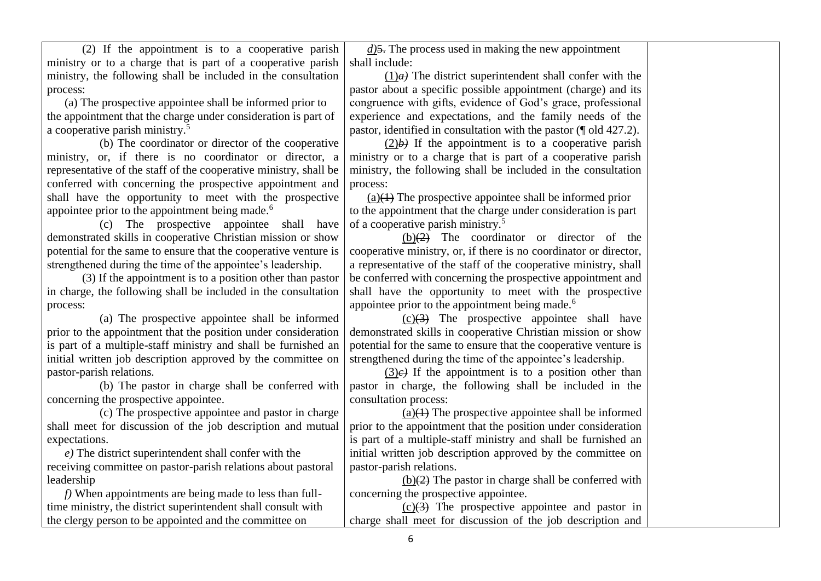(2) If the appointment is to a cooperative parish ministry or to a charge that is part of a cooperative parish ministry, the following shall be included in the consultation process: *d*)<sup>5</sup>. The process used in making the new appointment shall include:  $(1)$ <sup>a</sup>) The district superintendent shall confer with the pastor about a specific possible appointment (charge) and its

(a) The prospective appointee shall be informed prior to the appointment that the charge under consideration is part of a cooperative parish ministry.<sup>5</sup>

(b) The coordinator or director of the cooperative ministry, or, if there is no coordinator or director, a representative of the staff of the cooperative ministry, shall be conferred with concerning the prospective appointment and shall have the opportunity to meet with the prospective appointee prior to the appointment being made.<sup>6</sup>

(c) The prospective appointee shall have demonstrated skills in cooperative Christian mission or show potential for the same to ensure that the cooperative venture is strengthened during the time of the appointee's leadership.

(3) If the appointment is to a position other than pastor in charge, the following shall be included in the consultation process:

(a) The prospective appointee shall be informed prior to the appointment that the position under consideration is part of a multiple-staff ministry and shall be furnished an initial written job description approved by the committee on pastor-parish relations.

(b) The pastor in charge shall be conferred with concerning the prospective appointee.

(c) The prospective appointee and pastor in charge shall meet for discussion of the job description and mutual expectations.

*e)* The district superintendent shall confer with the receiving committee on pastor-parish relations about pastoral leadership

*f)* When appointments are being made to less than fulltime ministry, the district superintendent shall consult with the clergy person to be appointed and the committee on

congruence with gifts, evidence of God's grace, professional experience and expectations, and the family needs of the pastor, identified in consultation with the pastor (¶ old 427.2).

 $(2)$ **b**) If the appointment is to a cooperative parish ministry or to a charge that is part of a cooperative parish ministry, the following shall be included in the consultation process:

 $(a)(1)$  The prospective appointee shall be informed prior to the appointment that the charge under consideration is part of a cooperative parish ministry.<sup>5</sup>

 $(b)(2)$  The coordinator or director of the cooperative ministry, or, if there is no coordinator or director, a representative of the staff of the cooperative ministry, shall be conferred with concerning the prospective appointment and shall have the opportunity to meet with the prospective appointee prior to the appointment being made.<sup>6</sup>

 $(c)(3)$  The prospective appointee shall have demonstrated skills in cooperative Christian mission or show potential for the same to ensure that the cooperative venture is strengthened during the time of the appointee's leadership.

 $(3)$  e) If the appointment is to a position other than pastor in charge, the following shall be included in the consultation process:

 $(a)(1)$  The prospective appointee shall be informed prior to the appointment that the position under consideration is part of a multiple-staff ministry and shall be furnished an initial written job description approved by the committee on pastor-parish relations.

 $(b)(2)$  The pastor in charge shall be conferred with concerning the prospective appointee.

 $(c)(3)$  The prospective appointee and pastor in charge shall meet for discussion of the job description and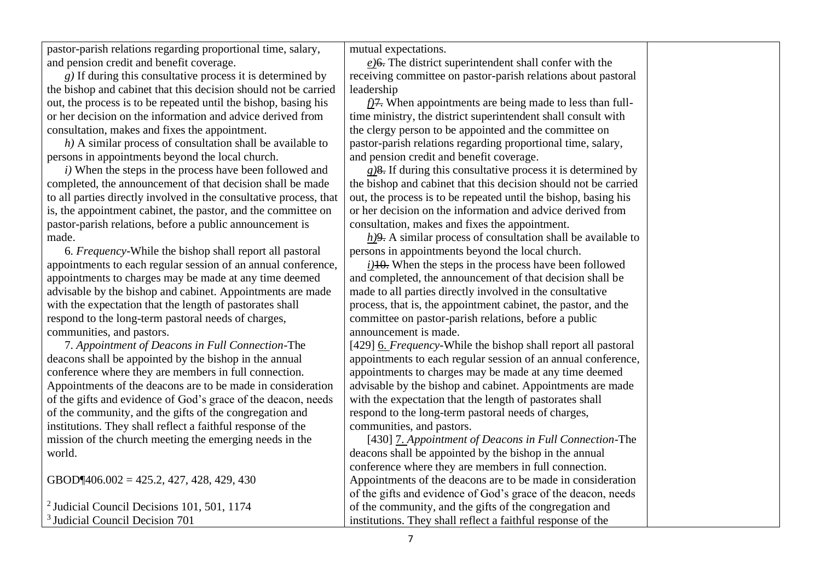pastor-parish relations regarding proportional time, salary, and pension credit and benefit coverage.

*g)* If during this consultative process it is determined by the bishop and cabinet that this decision should not be carried out, the process is to be repeated until the bishop, basing his or her decision on the information and advice derived from consultation, makes and fixes the appointment.

*h)* A similar process of consultation shall be available to persons in appointments beyond the local church.

*i)* When the steps in the process have been followed and completed, the announcement of that decision shall be made to all parties directly involved in the consultative process, that is, the appointment cabinet, the pastor, and the committee on pastor-parish relations, before a public announcement is made.

 6. *Frequency*-While the bishop shall report all pastoral appointments to each regular session of an annual conference, appointments to charges may be made at any time deemed advisable by the bishop and cabinet. Appointments are made with the expectation that the length of pastorates shall respond to the long-term pastoral needs of charges, communities, and pastors.

7. *Appointment of Deacons in Full Connection*-The deacons shall be appointed by the bishop in the annual conference where they are members in full connection. Appointments of the deacons are to be made in consideration of the gifts and evidence of God's grace of the deacon, needs of the community, and the gifts of the congregation and institutions. They shall reflect a faithful response of the mission of the church meeting the emerging needs in the world.

GBOD¶406.002 = 425.2, 427, 428, 429, 430

2 Judicial Council Decisions 101, 501, 1174 3 Judicial Council Decision 701

mutual expectations.

*e)*6. The district superintendent shall confer with the receiving committee on pastor-parish relations about pastoral leadership

*f)*7. When appointments are being made to less than fulltime ministry, the district superintendent shall consult with the clergy person to be appointed and the committee on pastor-parish relations regarding proportional time, salary, and pension credit and benefit coverage.

*g)*8. If during this consultative process it is determined by the bishop and cabinet that this decision should not be carried out, the process is to be repeated until the bishop, basing his or her decision on the information and advice derived from consultation, makes and fixes the appointment.

*h)*9. A similar process of consultation shall be available to persons in appointments beyond the local church.

 $i)$ <sup>10.</sup> When the steps in the process have been followed and completed, the announcement of that decision shall be made to all parties directly involved in the consultative process, that is, the appointment cabinet, the pastor, and the committee on pastor-parish relations, before a public announcement is made.

[429] 6. *Frequency*-While the bishop shall report all pastoral appointments to each regular session of an annual conference, appointments to charges may be made at any time deemed advisable by the bishop and cabinet. Appointments are made with the expectation that the length of pastorates shall respond to the long-term pastoral needs of charges, communities, and pastors.

[430] 7. *Appointment of Deacons in Full Connection*-The deacons shall be appointed by the bishop in the annual conference where they are members in full connection. Appointments of the deacons are to be made in consideration of the gifts and evidence of God's grace of the deacon, needs of the community, and the gifts of the congregation and institutions. They shall reflect a faithful response of the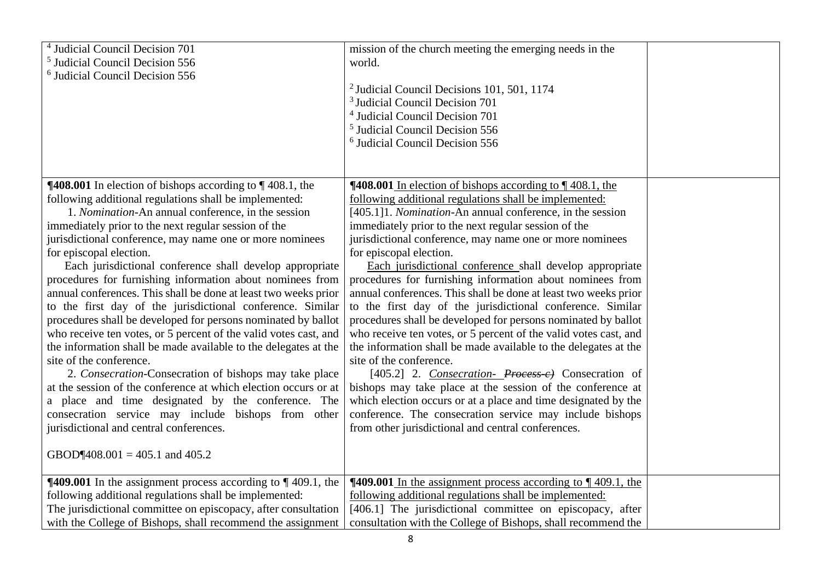| Judicial Council Decision 701                                                     | mission of the church meeting the emerging needs in the                              |  |
|-----------------------------------------------------------------------------------|--------------------------------------------------------------------------------------|--|
| <sup>5</sup> Judicial Council Decision 556                                        | world.                                                                               |  |
| <sup>6</sup> Judicial Council Decision 556                                        |                                                                                      |  |
|                                                                                   | $2$ Judicial Council Decisions 101, 501, 1174                                        |  |
|                                                                                   | <sup>3</sup> Judicial Council Decision 701                                           |  |
|                                                                                   | <sup>4</sup> Judicial Council Decision 701                                           |  |
|                                                                                   | <sup>5</sup> Judicial Council Decision 556                                           |  |
|                                                                                   | <sup>6</sup> Judicial Council Decision 556                                           |  |
|                                                                                   |                                                                                      |  |
|                                                                                   |                                                                                      |  |
| <b><math>\P</math>408.001</b> In election of bishops according to $\P$ 408.1, the | <b><math>\P</math>408.001</b> In election of bishops according to $\P$ 408.1, the    |  |
| following additional regulations shall be implemented:                            | following additional regulations shall be implemented:                               |  |
| 1. Nomination-An annual conference, in the session                                | [405.1]1. Nomination-An annual conference, in the session                            |  |
| immediately prior to the next regular session of the                              | immediately prior to the next regular session of the                                 |  |
| jurisdictional conference, may name one or more nominees                          | jurisdictional conference, may name one or more nominees                             |  |
| for episcopal election.                                                           | for episcopal election.                                                              |  |
| Each jurisdictional conference shall develop appropriate                          | Each jurisdictional conference shall develop appropriate                             |  |
| procedures for furnishing information about nominees from                         | procedures for furnishing information about nominees from                            |  |
| annual conferences. This shall be done at least two weeks prior                   | annual conferences. This shall be done at least two weeks prior                      |  |
| to the first day of the jurisdictional conference. Similar                        | to the first day of the jurisdictional conference. Similar                           |  |
| procedures shall be developed for persons nominated by ballot                     | procedures shall be developed for persons nominated by ballot                        |  |
| who receive ten votes, or 5 percent of the valid votes cast, and                  | who receive ten votes, or 5 percent of the valid votes cast, and                     |  |
| the information shall be made available to the delegates at the                   | the information shall be made available to the delegates at the                      |  |
| site of the conference.                                                           | site of the conference.                                                              |  |
| 2. Consecration-Consecration of bishops may take place                            | [405.2] 2. <i>Consecration- Process e</i> ) Consecration of                          |  |
| at the session of the conference at which election occurs or at                   | bishops may take place at the session of the conference at                           |  |
| a place and time designated by the conference. The                                | which election occurs or at a place and time designated by the                       |  |
| consecration service may include bishops from other                               | conference. The consecration service may include bishops                             |  |
| jurisdictional and central conferences.                                           | from other jurisdictional and central conferences.                                   |  |
|                                                                                   |                                                                                      |  |
| GBOD¶408.001 = 405.1 and 405.2                                                    |                                                                                      |  |
|                                                                                   |                                                                                      |  |
| $\P$ 409.001 In the assignment process according to $\P$ 409.1, the               | <b><math>\P</math>409.001</b> In the assignment process according to $\P$ 409.1, the |  |
| following additional regulations shall be implemented:                            | following additional regulations shall be implemented:                               |  |
| The jurisdictional committee on episcopacy, after consultation                    | [406.1] The jurisdictional committee on episcopacy, after                            |  |
| with the College of Bishops, shall recommend the assignment                       | consultation with the College of Bishops, shall recommend the                        |  |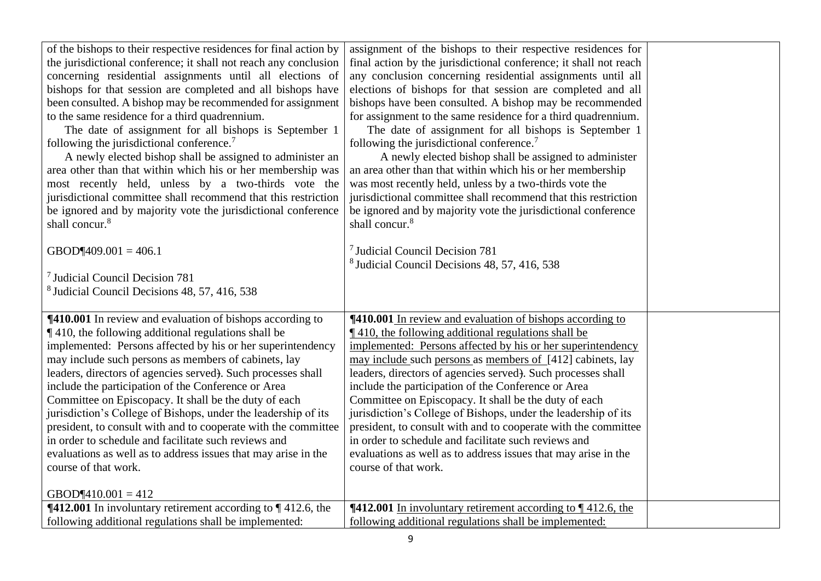| of the bishops to their respective residences for final action by<br>the jurisdictional conference; it shall not reach any conclusion<br>concerning residential assignments until all elections of<br>bishops for that session are completed and all bishops have<br>been consulted. A bishop may be recommended for assignment<br>to the same residence for a third quadrennium.<br>The date of assignment for all bishops is September 1<br>following the jurisdictional conference. <sup>7</sup><br>A newly elected bishop shall be assigned to administer an<br>area other than that within which his or her membership was<br>most recently held, unless by a two-thirds vote the<br>jurisdictional committee shall recommend that this restriction | assignment of the bishops to their respective residences for<br>final action by the jurisdictional conference; it shall not reach<br>any conclusion concerning residential assignments until all<br>elections of bishops for that session are completed and all<br>bishops have been consulted. A bishop may be recommended<br>for assignment to the same residence for a third quadrennium.<br>The date of assignment for all bishops is September 1<br>following the jurisdictional conference. <sup>7</sup><br>A newly elected bishop shall be assigned to administer<br>an area other than that within which his or her membership<br>was most recently held, unless by a two-thirds vote the<br>jurisdictional committee shall recommend that this restriction |  |
|----------------------------------------------------------------------------------------------------------------------------------------------------------------------------------------------------------------------------------------------------------------------------------------------------------------------------------------------------------------------------------------------------------------------------------------------------------------------------------------------------------------------------------------------------------------------------------------------------------------------------------------------------------------------------------------------------------------------------------------------------------|---------------------------------------------------------------------------------------------------------------------------------------------------------------------------------------------------------------------------------------------------------------------------------------------------------------------------------------------------------------------------------------------------------------------------------------------------------------------------------------------------------------------------------------------------------------------------------------------------------------------------------------------------------------------------------------------------------------------------------------------------------------------|--|
| be ignored and by majority vote the jurisdictional conference<br>shall concur. <sup>8</sup>                                                                                                                                                                                                                                                                                                                                                                                                                                                                                                                                                                                                                                                              | be ignored and by majority vote the jurisdictional conference<br>shall concur. <sup>8</sup>                                                                                                                                                                                                                                                                                                                                                                                                                                                                                                                                                                                                                                                                         |  |
| GBOD¶409.001 = 406.1<br><sup>7</sup> Judicial Council Decision 781<br><sup>8</sup> Judicial Council Decisions 48, 57, 416, 538                                                                                                                                                                                                                                                                                                                                                                                                                                                                                                                                                                                                                           | <sup>7</sup> Judicial Council Decision 781<br><sup>8</sup> Judicial Council Decisions 48, 57, 416, 538                                                                                                                                                                                                                                                                                                                                                                                                                                                                                                                                                                                                                                                              |  |
| <b>¶410.001</b> In review and evaluation of bishops according to<br>1410, the following additional regulations shall be<br>implemented: Persons affected by his or her superintendency<br>may include such persons as members of cabinets, lay<br>leaders, directors of agencies served). Such processes shall<br>include the participation of the Conference or Area<br>Committee on Episcopacy. It shall be the duty of each<br>jurisdiction's College of Bishops, under the leadership of its<br>president, to consult with and to cooperate with the committee<br>in order to schedule and facilitate such reviews and<br>evaluations as well as to address issues that may arise in the<br>course of that work.<br>$GBOD\P410.001 = 412$            | <b>¶410.001</b> In review and evaluation of bishops according to<br>$\P$ 410, the following additional regulations shall be<br>implemented: Persons affected by his or her superintendency<br>may include such persons as members of [412] cabinets, lay<br>leaders, directors of agencies served). Such processes shall<br>include the participation of the Conference or Area<br>Committee on Episcopacy. It shall be the duty of each<br>jurisdiction's College of Bishops, under the leadership of its<br>president, to consult with and to cooperate with the committee<br>in order to schedule and facilitate such reviews and<br>evaluations as well as to address issues that may arise in the<br>course of that work.                                      |  |
| <b><math>\P</math>412.001</b> In involuntary retirement according to $\P$ 412.6, the<br>following additional regulations shall be implemented:                                                                                                                                                                                                                                                                                                                                                                                                                                                                                                                                                                                                           | <b><math>\P</math>412.001</b> In involuntary retirement according to $\P$ 412.6, the<br>following additional regulations shall be implemented:                                                                                                                                                                                                                                                                                                                                                                                                                                                                                                                                                                                                                      |  |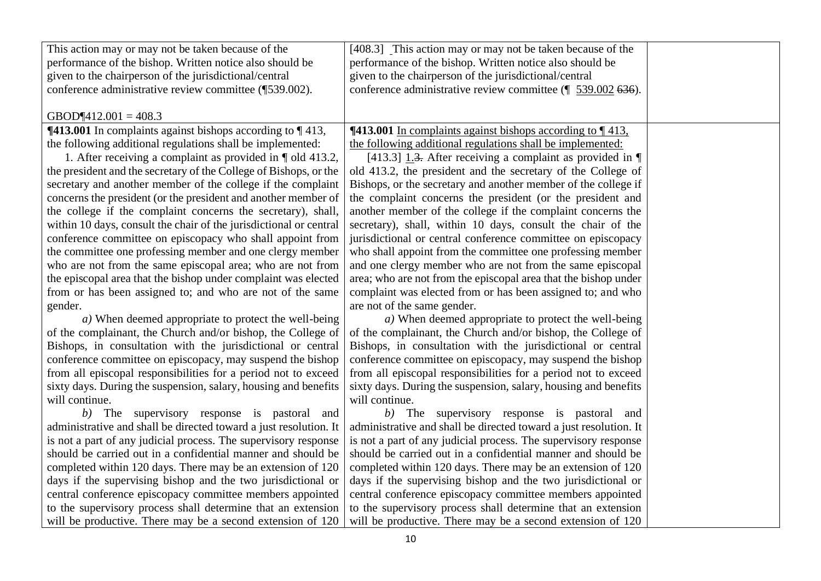| This action may or may not be taken because of the                 | [408.3] This action may or may not be taken because of the                         |  |
|--------------------------------------------------------------------|------------------------------------------------------------------------------------|--|
| performance of the bishop. Written notice also should be           | performance of the bishop. Written notice also should be                           |  |
| given to the chairperson of the jurisdictional/central             | given to the chairperson of the jurisdictional/central                             |  |
| conference administrative review committee (¶539.002).             | conference administrative review committee $($ $\sqrt{539.002636})$ .              |  |
|                                                                    |                                                                                    |  |
| GBOD¶412.001 = 408.3                                               |                                                                                    |  |
| <b>¶413.001</b> In complaints against bishops according to ¶413,   | <b><math>\P</math>413.001</b> In complaints against bishops according to $\P$ 413, |  |
| the following additional regulations shall be implemented:         | the following additional regulations shall be implemented:                         |  |
| 1. After receiving a complaint as provided in $\P$ old 413.2,      | [413.3] $1.\overline{3}$ . After receiving a complaint as provided in $\P$         |  |
| the president and the secretary of the College of Bishops, or the  | old 413.2, the president and the secretary of the College of                       |  |
| secretary and another member of the college if the complaint       | Bishops, or the secretary and another member of the college if                     |  |
| concerns the president (or the president and another member of     | the complaint concerns the president (or the president and                         |  |
| the college if the complaint concerns the secretary), shall,       | another member of the college if the complaint concerns the                        |  |
| within 10 days, consult the chair of the jurisdictional or central | secretary), shall, within 10 days, consult the chair of the                        |  |
| conference committee on episcopacy who shall appoint from          | jurisdictional or central conference committee on episcopacy                       |  |
| the committee one professing member and one clergy member          | who shall appoint from the committee one professing member                         |  |
| who are not from the same episcopal area; who are not from         | and one clergy member who are not from the same episcopal                          |  |
| the episcopal area that the bishop under complaint was elected     | area; who are not from the episcopal area that the bishop under                    |  |
| from or has been assigned to; and who are not of the same          | complaint was elected from or has been assigned to; and who                        |  |
| gender.                                                            | are not of the same gender.                                                        |  |
| $a)$ When deemed appropriate to protect the well-being             | $a)$ When deemed appropriate to protect the well-being                             |  |
| of the complainant, the Church and/or bishop, the College of       | of the complainant, the Church and/or bishop, the College of                       |  |
| Bishops, in consultation with the jurisdictional or central        | Bishops, in consultation with the jurisdictional or central                        |  |
| conference committee on episcopacy, may suspend the bishop         | conference committee on episcopacy, may suspend the bishop                         |  |
| from all episcopal responsibilities for a period not to exceed     | from all episcopal responsibilities for a period not to exceed                     |  |
| sixty days. During the suspension, salary, housing and benefits    | sixty days. During the suspension, salary, housing and benefits                    |  |
| will continue.                                                     | will continue.                                                                     |  |
| b) The supervisory response is pastoral and                        | b) The supervisory response is pastoral and                                        |  |
| administrative and shall be directed toward a just resolution. It  | administrative and shall be directed toward a just resolution. It                  |  |
| is not a part of any judicial process. The supervisory response    | is not a part of any judicial process. The supervisory response                    |  |
| should be carried out in a confidential manner and should be       | should be carried out in a confidential manner and should be                       |  |
| completed within 120 days. There may be an extension of 120        | completed within 120 days. There may be an extension of 120                        |  |
| days if the supervising bishop and the two jurisdictional or       | days if the supervising bishop and the two jurisdictional or                       |  |
| central conference episcopacy committee members appointed          | central conference episcopacy committee members appointed                          |  |
| to the supervisory process shall determine that an extension       | to the supervisory process shall determine that an extension                       |  |
| will be productive. There may be a second extension of 120         | will be productive. There may be a second extension of 120                         |  |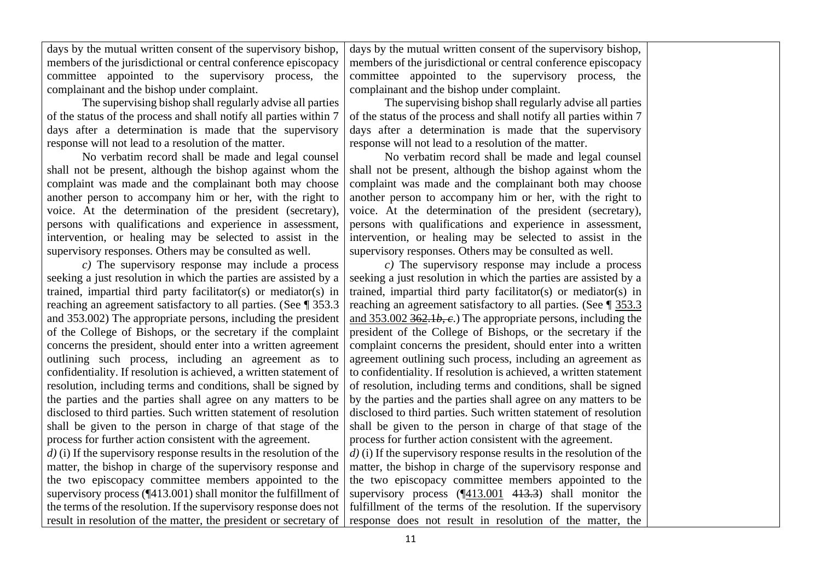days by the mutual written consent of the supervisory bishop, members of the jurisdictional or central conference episcopacy committee appointed to the supervisory process, the complainant and the bishop under complaint.

The supervising bishop shall regularly advise all parties of the status of the process and shall notify all parties within 7 days after a determination is made that the supervisory response will not lead to a resolution of the matter.

No verbatim record shall be made and legal counsel shall not be present, although the bishop against whom the complaint was made and the complainant both may choose another person to accompany him or her, with the right to voice. At the determination of the president (secretary), persons with qualifications and experience in assessment, intervention, or healing may be selected to assist in the supervisory responses. Others may be consulted as well.

*c)* The supervisory response may include a process seeking a just resolution in which the parties are assisted by a trained, impartial third party facilitator(s) or mediator(s) in reaching an agreement satisfactory to all parties. (See ¶ 353.3 and 353.002) The appropriate persons, including the president of the College of Bishops, or the secretary if the complaint concerns the president, should enter into a written agreement outlining such process, including an agreement as to confidentiality. If resolution is achieved, a written statement of resolution, including terms and conditions, shall be signed by the parties and the parties shall agree on any matters to be disclosed to third parties. Such written statement of resolution shall be given to the person in charge of that stage of the process for further action consistent with the agreement.

*d*) (i) If the supervisory response results in the resolution of the matter, the bishop in charge of the supervisory response and the two episcopacy committee members appointed to the supervisory process (¶413.001) shall monitor the fulfillment of the terms of the resolution. If the supervisory response does not result in resolution of the matter, the president or secretary of days by the mutual written consent of the supervisory bishop, members of the jurisdictional or central conference episcopacy committee appointed to the supervisory process, the complainant and the bishop under complaint.

The supervising bishop shall regularly advise all parties of the status of the process and shall notify all parties within 7 days after a determination is made that the supervisory response will not lead to a resolution of the matter.

No verbatim record shall be made and legal counsel shall not be present, although the bishop against whom the complaint was made and the complainant both may choose another person to accompany him or her, with the right to voice. At the determination of the president (secretary), persons with qualifications and experience in assessment, intervention, or healing may be selected to assist in the supervisory responses. Others may be consulted as well.

*c)* The supervisory response may include a process seeking a just resolution in which the parties are assisted by a trained, impartial third party facilitator(s) or mediator(s) in reaching an agreement satisfactory to all parties. (See ¶ 353.3 and 353.002 362.1*b*, *c*.) The appropriate persons, including the president of the College of Bishops, or the secretary if the complaint concerns the president, should enter into a written agreement outlining such process, including an agreement as to confidentiality. If resolution is achieved, a written statement of resolution, including terms and conditions, shall be signed by the parties and the parties shall agree on any matters to be disclosed to third parties. Such written statement of resolution shall be given to the person in charge of that stage of the process for further action consistent with the agreement.

*d*) (i) If the supervisory response results in the resolution of the matter, the bishop in charge of the supervisory response and the two episcopacy committee members appointed to the supervisory process (¶413.001 413.3) shall monitor the fulfillment of the terms of the resolution. If the supervisory response does not result in resolution of the matter, the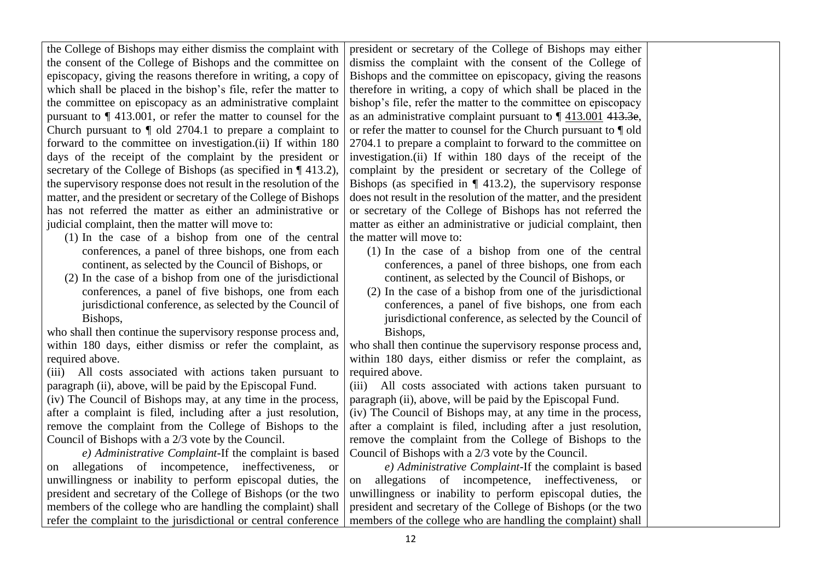the College of Bishops may either dismiss the complaint with the consent of the College of Bishops and the committee on episcopacy, giving the reasons therefore in writing, a copy of which shall be placed in the bishop's file, refer the matter to the committee on episcopacy as an administrative complaint pursuant to ¶ 413.001, or refer the matter to counsel for the Church pursuant to ¶ old 2704.1 to prepare a complaint to forward to the committee on investigation.(ii) If within 180 days of the receipt of the complaint by the president or secretary of the College of Bishops (as specified in  $\P$  413.2), the supervisory response does not result in the resolution of the matter, and the president or secretary of the College of Bishops has not referred the matter as either an administrative or judicial complaint, then the matter will move to:

- (1) In the case of a bishop from one of the central conferences, a panel of three bishops, one from each continent, as selected by the Council of Bishops, or
- (2) In the case of a bishop from one of the jurisdictional conferences, a panel of five bishops, one from each jurisdictional conference, as selected by the Council of Bishops,

who shall then continue the supervisory response process and, within 180 days, either dismiss or refer the complaint, as required above.

(iii) All costs associated with actions taken pursuant to paragraph (ii), above, will be paid by the Episcopal Fund.

(iv) The Council of Bishops may, at any time in the process, after a complaint is filed, including after a just resolution, remove the complaint from the College of Bishops to the Council of Bishops with a 2/3 vote by the Council.

*e) Administrative Complaint*-If the complaint is based on allegations of incompetence, ineffectiveness, or unwillingness or inability to perform episcopal duties, the president and secretary of the College of Bishops (or the two members of the college who are handling the complaint) shall refer the complaint to the jurisdictional or central conference

president or secretary of the College of Bishops may either dismiss the complaint with the consent of the College of Bishops and the committee on episcopacy, giving the reasons therefore in writing, a copy of which shall be placed in the bishop's file, refer the matter to the committee on episcopacy as an administrative complaint pursuant to ¶ 413.001 413.3e, or refer the matter to counsel for the Church pursuant to ¶ old 2704.1 to prepare a complaint to forward to the committee on investigation.(ii) If within 180 days of the receipt of the complaint by the president or secretary of the College of Bishops (as specified in  $\P$  413.2), the supervisory response does not result in the resolution of the matter, and the president or secretary of the College of Bishops has not referred the matter as either an administrative or judicial complaint, then the matter will move to:

- (1) In the case of a bishop from one of the central conferences, a panel of three bishops, one from each continent, as selected by the Council of Bishops, or
- (2) In the case of a bishop from one of the jurisdictional conferences, a panel of five bishops, one from each jurisdictional conference, as selected by the Council of Bishops,

who shall then continue the supervisory response process and, within 180 days, either dismiss or refer the complaint, as required above.

(iii) All costs associated with actions taken pursuant to paragraph (ii), above, will be paid by the Episcopal Fund.

(iv) The Council of Bishops may, at any time in the process, after a complaint is filed, including after a just resolution, remove the complaint from the College of Bishops to the Council of Bishops with a 2/3 vote by the Council.

*e) Administrative Complaint*-If the complaint is based on allegations of incompetence, ineffectiveness, or unwillingness or inability to perform episcopal duties, the president and secretary of the College of Bishops (or the two members of the college who are handling the complaint) shall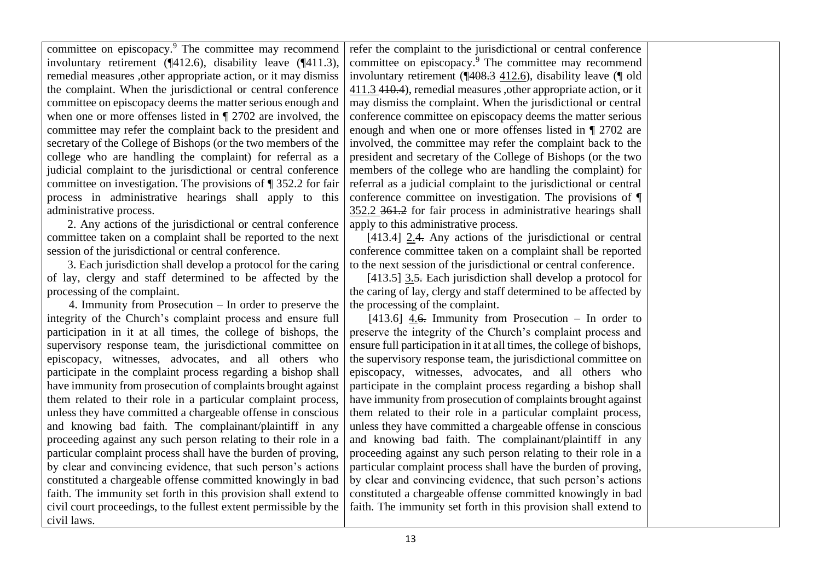committee on episcopacy.<sup>9</sup> The committee may recommend involuntary retirement (¶412.6), disability leave (¶411.3), remedial measures ,other appropriate action, or it may dismiss the complaint. When the jurisdictional or central conference committee on episcopacy deems the matter serious enough and when one or more offenses listed in ¶ 2702 are involved, the committee may refer the complaint back to the president and secretary of the College of Bishops (or the two members of the college who are handling the complaint) for referral as a judicial complaint to the jurisdictional or central conference committee on investigation. The provisions of ¶ 352.2 for fair process in administrative hearings shall apply to this administrative process.

2. Any actions of the jurisdictional or central conference committee taken on a complaint shall be reported to the next session of the jurisdictional or central conference.

3. Each jurisdiction shall develop a protocol for the caring of lay, clergy and staff determined to be affected by the processing of the complaint.

4. Immunity from Prosecution – In order to preserve the integrity of the Church's complaint process and ensure full participation in it at all times, the college of bishops, the supervisory response team, the jurisdictional committee on episcopacy, witnesses, advocates, and all others who participate in the complaint process regarding a bishop shall have immunity from prosecution of complaints brought against them related to their role in a particular complaint process, unless they have committed a chargeable offense in conscious and knowing bad faith. The complainant/plaintiff in any proceeding against any such person relating to their role in a particular complaint process shall have the burden of proving, by clear and convincing evidence, that such person's actions constituted a chargeable offense committed knowingly in bad faith. The immunity set forth in this provision shall extend to civil court proceedings, to the fullest extent permissible by the civil laws.

refer the complaint to the jurisdictional or central conference committee on episcopacy.<sup>9</sup> The committee may recommend involuntary retirement (¶408.3 412.6), disability leave (¶ old 411.3 410.4), remedial measures ,other appropriate action, or it may dismiss the complaint. When the jurisdictional or central conference committee on episcopacy deems the matter serious enough and when one or more offenses listed in ¶ 2702 are involved, the committee may refer the complaint back to the president and secretary of the College of Bishops (or the two members of the college who are handling the complaint) for referral as a judicial complaint to the jurisdictional or central conference committee on investigation. The provisions of ¶ 352.2 361.2 for fair process in administrative hearings shall apply to this administrative process.

[413.4] 2.4. Any actions of the jurisdictional or central conference committee taken on a complaint shall be reported to the next session of the jurisdictional or central conference.

[413.5] 3.5. Each jurisdiction shall develop a protocol for the caring of lay, clergy and staff determined to be affected by the processing of the complaint.

[413.6] 4.6. Immunity from Prosecution – In order to preserve the integrity of the Church's complaint process and ensure full participation in it at all times, the college of bishops, the supervisory response team, the jurisdictional committee on episcopacy, witnesses, advocates, and all others who participate in the complaint process regarding a bishop shall have immunity from prosecution of complaints brought against them related to their role in a particular complaint process, unless they have committed a chargeable offense in conscious and knowing bad faith. The complainant/plaintiff in any proceeding against any such person relating to their role in a particular complaint process shall have the burden of proving, by clear and convincing evidence, that such person's actions constituted a chargeable offense committed knowingly in bad faith. The immunity set forth in this provision shall extend to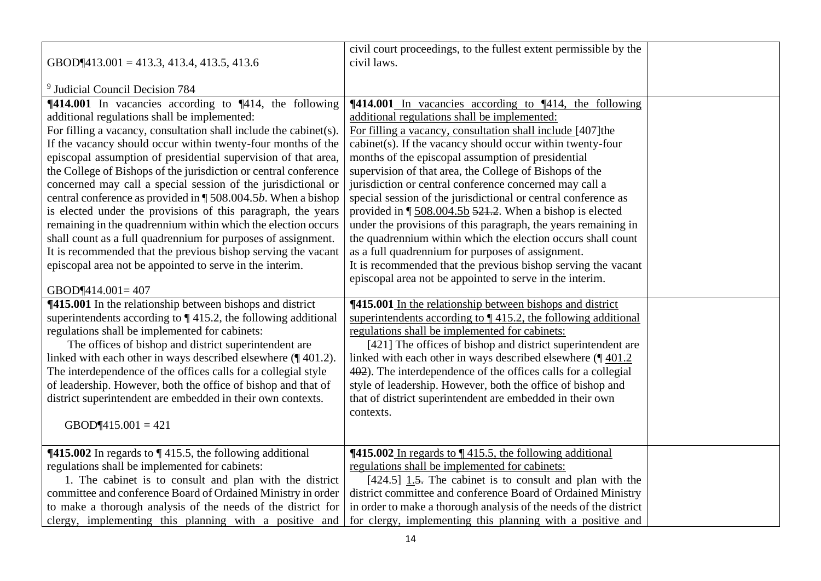| GBOD¶413.001 = 413.3, 413.4, 413.5, 413.6                                                                                                                                                                                                                                                                                                                                                                                                                                                                                                                                                                                                                                                                                                                                                                                                                             | civil court proceedings, to the fullest extent permissible by the<br>civil laws.                                                                                                                                                                                                                                                                                                                                                                                                                                                                                                                                                                                                                                                                                                                                                  |  |
|-----------------------------------------------------------------------------------------------------------------------------------------------------------------------------------------------------------------------------------------------------------------------------------------------------------------------------------------------------------------------------------------------------------------------------------------------------------------------------------------------------------------------------------------------------------------------------------------------------------------------------------------------------------------------------------------------------------------------------------------------------------------------------------------------------------------------------------------------------------------------|-----------------------------------------------------------------------------------------------------------------------------------------------------------------------------------------------------------------------------------------------------------------------------------------------------------------------------------------------------------------------------------------------------------------------------------------------------------------------------------------------------------------------------------------------------------------------------------------------------------------------------------------------------------------------------------------------------------------------------------------------------------------------------------------------------------------------------------|--|
| <sup>9</sup> Judicial Council Decision 784                                                                                                                                                                                                                                                                                                                                                                                                                                                                                                                                                                                                                                                                                                                                                                                                                            |                                                                                                                                                                                                                                                                                                                                                                                                                                                                                                                                                                                                                                                                                                                                                                                                                                   |  |
| <b>¶414.001</b> In vacancies according to ¶414, the following<br>additional regulations shall be implemented:<br>For filling a vacancy, consultation shall include the cabinet(s).<br>If the vacancy should occur within twenty-four months of the<br>episcopal assumption of presidential supervision of that area,<br>the College of Bishops of the jurisdiction or central conference<br>concerned may call a special session of the jurisdictional or<br>central conference as provided in $\P$ 508.004.5 <i>b</i> . When a bishop<br>is elected under the provisions of this paragraph, the years<br>remaining in the quadrennium within which the election occurs<br>shall count as a full quadrennium for purposes of assignment.<br>It is recommended that the previous bishop serving the vacant<br>episcopal area not be appointed to serve in the interim. | <b><math>\P</math>414.001</b> In vacancies according to $\P$ 414, the following<br>additional regulations shall be implemented:<br>For filling a vacancy, consultation shall include [407] the<br>cabinet(s). If the vacancy should occur within twenty-four<br>months of the episcopal assumption of presidential<br>supervision of that area, the College of Bishops of the<br>jurisdiction or central conference concerned may call a<br>special session of the jurisdictional or central conference as<br>provided in $\P$ 508.004.5b 521.2. When a bishop is elected<br>under the provisions of this paragraph, the years remaining in<br>the quadrennium within which the election occurs shall count<br>as a full quadrennium for purposes of assignment.<br>It is recommended that the previous bishop serving the vacant |  |
| $GBOD\P414.001=407$                                                                                                                                                                                                                                                                                                                                                                                                                                                                                                                                                                                                                                                                                                                                                                                                                                                   | episcopal area not be appointed to serve in the interim.                                                                                                                                                                                                                                                                                                                                                                                                                                                                                                                                                                                                                                                                                                                                                                          |  |
| <b>¶415.001</b> In the relationship between bishops and district<br>superintendents according to $\P$ 415.2, the following additional<br>regulations shall be implemented for cabinets:<br>The offices of bishop and district superintendent are<br>linked with each other in ways described elsewhere $(\P 401.2)$ .<br>The interdependence of the offices calls for a collegial style<br>of leadership. However, both the office of bishop and that of<br>district superintendent are embedded in their own contexts.<br>$GBOD\P415.001 = 421$                                                                                                                                                                                                                                                                                                                      | <b>¶415.001</b> In the relationship between bishops and district<br>superintendents according to $\P$ 415.2, the following additional<br>regulations shall be implemented for cabinets:<br>[421] The offices of bishop and district superintendent are<br>linked with each other in ways described elsewhere $(\frac{1401.2}{2})$<br>402). The interdependence of the offices calls for a collegial<br>style of leadership. However, both the office of bishop and<br>that of district superintendent are embedded in their own<br>contexts.                                                                                                                                                                                                                                                                                      |  |
| $\P$ 415.002 In regards to $\P$ 415.5, the following additional<br>regulations shall be implemented for cabinets:<br>1. The cabinet is to consult and plan with the district<br>committee and conference Board of Ordained Ministry in order<br>to make a thorough analysis of the needs of the district for<br>clergy, implementing this planning with a positive and                                                                                                                                                                                                                                                                                                                                                                                                                                                                                                | $\P$ 415.002 In regards to $\P$ 415.5, the following additional<br>regulations shall be implemented for cabinets:<br>$[424.5]$ 1.5. The cabinet is to consult and plan with the<br>district committee and conference Board of Ordained Ministry<br>in order to make a thorough analysis of the needs of the district<br>for clergy, implementing this planning with a positive and                                                                                                                                                                                                                                                                                                                                                                                                                                                |  |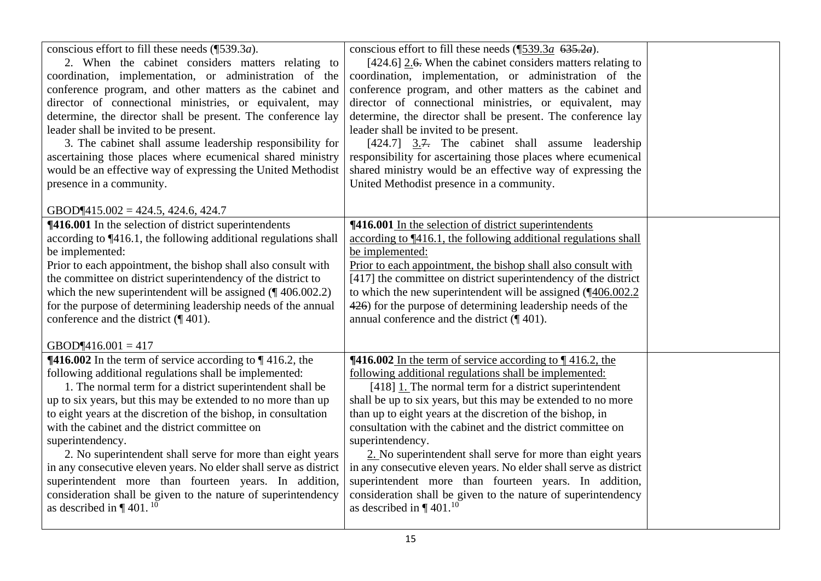| conscious effort to fill these needs $(\sqrt{\sqrt{539.3a}})$ .<br>2. When the cabinet considers matters relating to<br>coordination, implementation, or administration of the<br>conference program, and other matters as the cabinet and<br>director of connectional ministries, or equivalent, may<br>determine, the director shall be present. The conference lay<br>leader shall be invited to be present.<br>3. The cabinet shall assume leadership responsibility for<br>ascertaining those places where ecumenical shared ministry<br>would be an effective way of expressing the United Methodist                                                                                                                     | conscious effort to fill these needs $(\frac{539.3a}{535.2a})$ .<br>$[424.6]$ 2.6. When the cabinet considers matters relating to<br>coordination, implementation, or administration of the<br>conference program, and other matters as the cabinet and<br>director of connectional ministries, or equivalent, may<br>determine, the director shall be present. The conference lay<br>leader shall be invited to be present.<br>$[424.7]$ 3.7. The cabinet shall assume leadership<br>responsibility for ascertaining those places where ecumenical<br>shared ministry would be an effective way of expressing the                                                                                               |  |
|--------------------------------------------------------------------------------------------------------------------------------------------------------------------------------------------------------------------------------------------------------------------------------------------------------------------------------------------------------------------------------------------------------------------------------------------------------------------------------------------------------------------------------------------------------------------------------------------------------------------------------------------------------------------------------------------------------------------------------|------------------------------------------------------------------------------------------------------------------------------------------------------------------------------------------------------------------------------------------------------------------------------------------------------------------------------------------------------------------------------------------------------------------------------------------------------------------------------------------------------------------------------------------------------------------------------------------------------------------------------------------------------------------------------------------------------------------|--|
| presence in a community.                                                                                                                                                                                                                                                                                                                                                                                                                                                                                                                                                                                                                                                                                                       | United Methodist presence in a community.                                                                                                                                                                                                                                                                                                                                                                                                                                                                                                                                                                                                                                                                        |  |
| GBOD¶415.002 = 424.5, 424.6, 424.7                                                                                                                                                                                                                                                                                                                                                                                                                                                                                                                                                                                                                                                                                             |                                                                                                                                                                                                                                                                                                                                                                                                                                                                                                                                                                                                                                                                                                                  |  |
| <b>¶416.001</b> In the selection of district superintendents<br>according to $\P$ 416.1, the following additional regulations shall<br>be implemented:<br>Prior to each appointment, the bishop shall also consult with<br>the committee on district superintendency of the district to<br>which the new superintendent will be assigned $(\sqrt{\frac{406.002.2}{}})$<br>for the purpose of determining leadership needs of the annual<br>conference and the district $(\P 401)$ .                                                                                                                                                                                                                                            | ¶416.001 In the selection of district superintendents<br>according to $\P$ 416.1, the following additional regulations shall<br>be implemented:<br>Prior to each appointment, the bishop shall also consult with<br>[417] the committee on district superintendency of the district<br>to which the new superintendent will be assigned $(\frac{406.002.2}{400.002.2})$<br>426) for the purpose of determining leadership needs of the<br>annual conference and the district $(\P 401)$ .                                                                                                                                                                                                                        |  |
| GBOD¶416.001 = 417<br>$\P$ 416.002 In the term of service according to $\P$ 416.2, the<br>following additional regulations shall be implemented:<br>1. The normal term for a district superintendent shall be<br>up to six years, but this may be extended to no more than up<br>to eight years at the discretion of the bishop, in consultation<br>with the cabinet and the district committee on<br>superintendency.<br>2. No superintendent shall serve for more than eight years<br>in any consecutive eleven years. No elder shall serve as district<br>superintendent more than fourteen years. In addition,<br>consideration shall be given to the nature of superintendency<br>as described in $\P$ 401. <sup>10</sup> | $\P$ 416.002 In the term of service according to $\P$ 416.2, the<br>following additional regulations shall be implemented:<br>[418] $1.$ The normal term for a district superintendent<br>shall be up to six years, but this may be extended to no more<br>than up to eight years at the discretion of the bishop, in<br>consultation with the cabinet and the district committee on<br>superintendency.<br>2. No superintendent shall serve for more than eight years<br>in any consecutive eleven years. No elder shall serve as district<br>superintendent more than fourteen years. In addition,<br>consideration shall be given to the nature of superintendency<br>as described in $\P$ 401. <sup>10</sup> |  |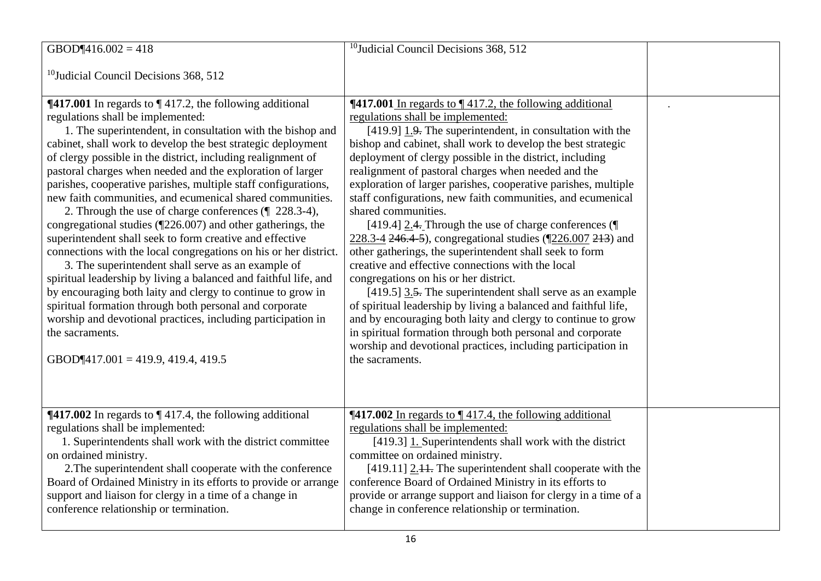| $GBOD\P416.002 = 418$                                                                                                                                                                                                                                                                                                                                                                                                                                                                                                                                                                                                                                                                                                                                                                                                                                                                                                                                                                                                                                                                                                                | $10$ Judicial Council Decisions 368, 512                                                                                                                                                                                                                                                                                                                                                                                                                                                                                                                                                                                                                                                                                                                                                                                                                                                                                                                                                                                                                                                                                                                    |  |
|--------------------------------------------------------------------------------------------------------------------------------------------------------------------------------------------------------------------------------------------------------------------------------------------------------------------------------------------------------------------------------------------------------------------------------------------------------------------------------------------------------------------------------------------------------------------------------------------------------------------------------------------------------------------------------------------------------------------------------------------------------------------------------------------------------------------------------------------------------------------------------------------------------------------------------------------------------------------------------------------------------------------------------------------------------------------------------------------------------------------------------------|-------------------------------------------------------------------------------------------------------------------------------------------------------------------------------------------------------------------------------------------------------------------------------------------------------------------------------------------------------------------------------------------------------------------------------------------------------------------------------------------------------------------------------------------------------------------------------------------------------------------------------------------------------------------------------------------------------------------------------------------------------------------------------------------------------------------------------------------------------------------------------------------------------------------------------------------------------------------------------------------------------------------------------------------------------------------------------------------------------------------------------------------------------------|--|
| $10$ Judicial Council Decisions 368, 512                                                                                                                                                                                                                                                                                                                                                                                                                                                                                                                                                                                                                                                                                                                                                                                                                                                                                                                                                                                                                                                                                             |                                                                                                                                                                                                                                                                                                                                                                                                                                                                                                                                                                                                                                                                                                                                                                                                                                                                                                                                                                                                                                                                                                                                                             |  |
| $\P$ 417.001 In regards to $\P$ 417.2, the following additional<br>regulations shall be implemented:<br>1. The superintendent, in consultation with the bishop and<br>cabinet, shall work to develop the best strategic deployment<br>of clergy possible in the district, including realignment of<br>pastoral charges when needed and the exploration of larger<br>parishes, cooperative parishes, multiple staff configurations,<br>new faith communities, and ecumenical shared communities.<br>2. Through the use of charge conferences (¶ 228.3-4),<br>congregational studies (¶226.007) and other gatherings, the<br>superintendent shall seek to form creative and effective<br>connections with the local congregations on his or her district.<br>3. The superintendent shall serve as an example of<br>spiritual leadership by living a balanced and faithful life, and<br>by encouraging both laity and clergy to continue to grow in<br>spiritual formation through both personal and corporate<br>worship and devotional practices, including participation in<br>the sacraments.<br>GBOD¶417.001 = 419.9, 419.4, 419.5 | $\P$ 417.001 In regards to $\P$ 417.2, the following additional<br>regulations shall be implemented:<br>[419.9] $1.9$ . The superintendent, in consultation with the<br>bishop and cabinet, shall work to develop the best strategic<br>deployment of clergy possible in the district, including<br>realignment of pastoral charges when needed and the<br>exploration of larger parishes, cooperative parishes, multiple<br>staff configurations, new faith communities, and ecumenical<br>shared communities.<br>[419.4] $2.4$ . Through the use of charge conferences ( $\P$<br>228.3-4 246.4-5), congregational studies (1226.007 213) and<br>other gatherings, the superintendent shall seek to form<br>creative and effective connections with the local<br>congregations on his or her district.<br>[419.5] $3.5$ . The superintendent shall serve as an example<br>of spiritual leadership by living a balanced and faithful life,<br>and by encouraging both laity and clergy to continue to grow<br>in spiritual formation through both personal and corporate<br>worship and devotional practices, including participation in<br>the sacraments. |  |
| $\P$ 417.002 In regards to $\P$ 417.4, the following additional<br>regulations shall be implemented:<br>1. Superintendents shall work with the district committee<br>on ordained ministry.<br>2. The superintendent shall cooperate with the conference<br>Board of Ordained Ministry in its efforts to provide or arrange<br>support and liaison for clergy in a time of a change in<br>conference relationship or termination.                                                                                                                                                                                                                                                                                                                                                                                                                                                                                                                                                                                                                                                                                                     | $\P$ 417.002 In regards to $\P$ 417.4, the following additional<br>regulations shall be implemented:<br>[419.3] $\underline{1}$ . Superintendents shall work with the district<br>committee on ordained ministry.<br>[419.11] $2.11$ . The superintendent shall cooperate with the<br>conference Board of Ordained Ministry in its efforts to<br>provide or arrange support and liaison for clergy in a time of a<br>change in conference relationship or termination.                                                                                                                                                                                                                                                                                                                                                                                                                                                                                                                                                                                                                                                                                      |  |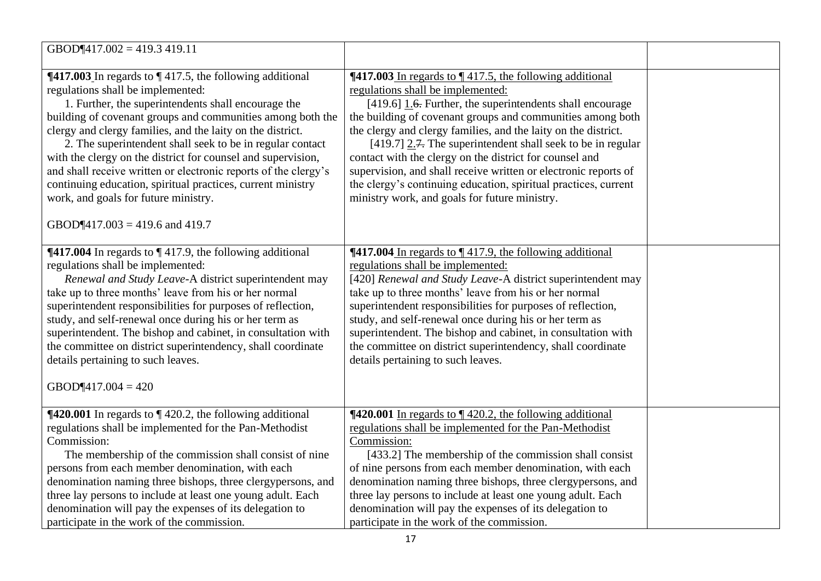| GBOD¶417.002 = 419.3 419.11                                                                                                                                                                                                                                                                                                                                                                                                                                                                                                                                                                                                      |                                                                                                                                                                                                                                                                                                                                                                                                                                                                                                                                                                                                                          |  |
|----------------------------------------------------------------------------------------------------------------------------------------------------------------------------------------------------------------------------------------------------------------------------------------------------------------------------------------------------------------------------------------------------------------------------------------------------------------------------------------------------------------------------------------------------------------------------------------------------------------------------------|--------------------------------------------------------------------------------------------------------------------------------------------------------------------------------------------------------------------------------------------------------------------------------------------------------------------------------------------------------------------------------------------------------------------------------------------------------------------------------------------------------------------------------------------------------------------------------------------------------------------------|--|
| $\P$ 417.003 In regards to $\P$ 417.5, the following additional<br>regulations shall be implemented:<br>1. Further, the superintendents shall encourage the<br>building of covenant groups and communities among both the<br>clergy and clergy families, and the laity on the district.<br>2. The superintendent shall seek to be in regular contact<br>with the clergy on the district for counsel and supervision,<br>and shall receive written or electronic reports of the clergy's<br>continuing education, spiritual practices, current ministry<br>work, and goals for future ministry.<br>GBOD¶417.003 = 419.6 and 419.7 | $\P$ 417.003 In regards to $\P$ 417.5, the following additional<br>regulations shall be implemented:<br>[419.6] $1.6$ . Further, the superintendents shall encourage<br>the building of covenant groups and communities among both<br>the clergy and clergy families, and the laity on the district.<br>[419.7] $2.7$ . The superintendent shall seek to be in regular<br>contact with the clergy on the district for counsel and<br>supervision, and shall receive written or electronic reports of<br>the clergy's continuing education, spiritual practices, current<br>ministry work, and goals for future ministry. |  |
| <b><math>\P</math>417.004</b> In regards to $\P$ 417.9, the following additional<br>regulations shall be implemented:<br>Renewal and Study Leave-A district superintendent may<br>take up to three months' leave from his or her normal<br>superintendent responsibilities for purposes of reflection,<br>study, and self-renewal once during his or her term as<br>superintendent. The bishop and cabinet, in consultation with<br>the committee on district superintendency, shall coordinate<br>details pertaining to such leaves.<br>$GBOD\P417.004 = 420$                                                                   | <b><math>\P</math>417.004</b> In regards to $\P$ 417.9, the following additional<br>regulations shall be implemented:<br>[420] Renewal and Study Leave-A district superintendent may<br>take up to three months' leave from his or her normal<br>superintendent responsibilities for purposes of reflection,<br>study, and self-renewal once during his or her term as<br>superintendent. The bishop and cabinet, in consultation with<br>the committee on district superintendency, shall coordinate<br>details pertaining to such leaves.                                                                              |  |
| $\P$ 420.001 In regards to $\P$ 420.2, the following additional<br>regulations shall be implemented for the Pan-Methodist<br>Commission:<br>The membership of the commission shall consist of nine<br>persons from each member denomination, with each<br>denomination naming three bishops, three clergypersons, and<br>three lay persons to include at least one young adult. Each<br>denomination will pay the expenses of its delegation to<br>participate in the work of the commission.                                                                                                                                    | $\P$ 420.001 In regards to $\P$ 420.2, the following additional<br>regulations shall be implemented for the Pan-Methodist<br>Commission:<br>[433.2] The membership of the commission shall consist<br>of nine persons from each member denomination, with each<br>denomination naming three bishops, three clergypersons, and<br>three lay persons to include at least one young adult. Each<br>denomination will pay the expenses of its delegation to<br>participate in the work of the commission.                                                                                                                    |  |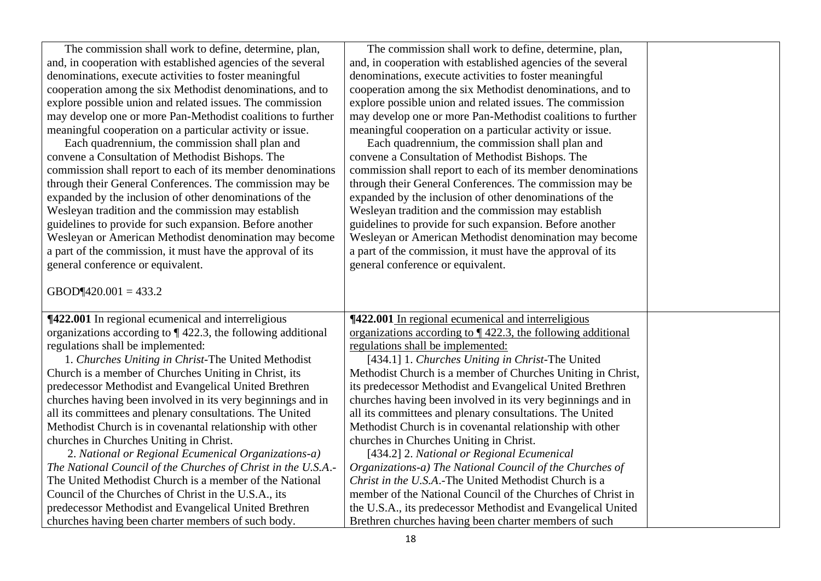| The commission shall work to define, determine, plan,                                                       | The commission shall work to define, determine, plan,                                                                 |  |
|-------------------------------------------------------------------------------------------------------------|-----------------------------------------------------------------------------------------------------------------------|--|
| and, in cooperation with established agencies of the several                                                | and, in cooperation with established agencies of the several                                                          |  |
| denominations, execute activities to foster meaningful                                                      | denominations, execute activities to foster meaningful                                                                |  |
| cooperation among the six Methodist denominations, and to                                                   | cooperation among the six Methodist denominations, and to                                                             |  |
| explore possible union and related issues. The commission                                                   | explore possible union and related issues. The commission                                                             |  |
| may develop one or more Pan-Methodist coalitions to further                                                 | may develop one or more Pan-Methodist coalitions to further                                                           |  |
| meaningful cooperation on a particular activity or issue.                                                   | meaningful cooperation on a particular activity or issue.                                                             |  |
| Each quadrennium, the commission shall plan and                                                             | Each quadrennium, the commission shall plan and                                                                       |  |
| convene a Consultation of Methodist Bishops. The                                                            | convene a Consultation of Methodist Bishops. The                                                                      |  |
| commission shall report to each of its member denominations                                                 | commission shall report to each of its member denominations                                                           |  |
| through their General Conferences. The commission may be                                                    | through their General Conferences. The commission may be                                                              |  |
| expanded by the inclusion of other denominations of the                                                     | expanded by the inclusion of other denominations of the                                                               |  |
| Wesleyan tradition and the commission may establish                                                         | Wesleyan tradition and the commission may establish                                                                   |  |
| guidelines to provide for such expansion. Before another                                                    | guidelines to provide for such expansion. Before another                                                              |  |
| Wesleyan or American Methodist denomination may become                                                      | Wesleyan or American Methodist denomination may become                                                                |  |
| a part of the commission, it must have the approval of its                                                  | a part of the commission, it must have the approval of its                                                            |  |
| general conference or equivalent.                                                                           | general conference or equivalent.                                                                                     |  |
|                                                                                                             |                                                                                                                       |  |
| $GBOD\P420.001 = 433.2$                                                                                     |                                                                                                                       |  |
|                                                                                                             |                                                                                                                       |  |
| <b>¶422.001</b> In regional ecumenical and interreligious                                                   | <b>¶422.001</b> In regional ecumenical and interreligious                                                             |  |
| organizations according to $\P$ 422.3, the following additional                                             |                                                                                                                       |  |
|                                                                                                             | organizations according to $\P$ 422.3, the following additional                                                       |  |
| regulations shall be implemented:                                                                           | regulations shall be implemented:                                                                                     |  |
| 1. Churches Uniting in Christ-The United Methodist                                                          | [434.1] 1. Churches Uniting in Christ-The United                                                                      |  |
| Church is a member of Churches Uniting in Christ, its                                                       | Methodist Church is a member of Churches Uniting in Christ,                                                           |  |
| predecessor Methodist and Evangelical United Brethren                                                       | its predecessor Methodist and Evangelical United Brethren                                                             |  |
| churches having been involved in its very beginnings and in                                                 | churches having been involved in its very beginnings and in                                                           |  |
| all its committees and plenary consultations. The United                                                    | all its committees and plenary consultations. The United                                                              |  |
| Methodist Church is in covenantal relationship with other                                                   | Methodist Church is in covenantal relationship with other                                                             |  |
| churches in Churches Uniting in Christ.                                                                     | churches in Churches Uniting in Christ.                                                                               |  |
| 2. National or Regional Ecumenical Organizations-a)                                                         | [434.2] 2. National or Regional Ecumenical                                                                            |  |
| The National Council of the Churches of Christ in the U.S.A.-                                               | Organizations-a) The National Council of the Churches of                                                              |  |
| The United Methodist Church is a member of the National                                                     | Christ in the U.S.A.-The United Methodist Church is a                                                                 |  |
| Council of the Churches of Christ in the U.S.A., its                                                        | member of the National Council of the Churches of Christ in                                                           |  |
| predecessor Methodist and Evangelical United Brethren<br>churches having been charter members of such body. | the U.S.A., its predecessor Methodist and Evangelical United<br>Brethren churches having been charter members of such |  |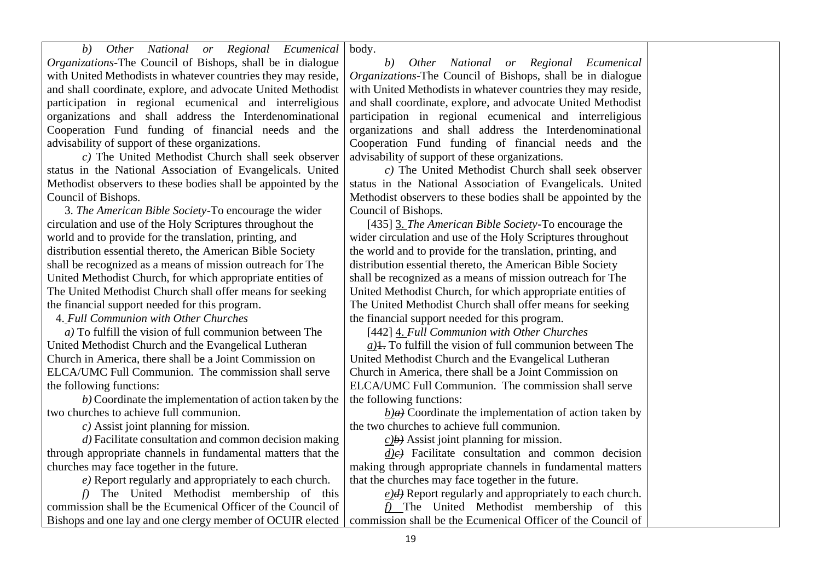body.

*b) Other National or Regional Ecumenical Organizations*-The Council of Bishops, shall be in dialogue with United Methodists in whatever countries they may reside, and shall coordinate, explore, and advocate United Methodist participation in regional ecumenical and interreligious organizations and shall address the Interdenominational Cooperation Fund funding of financial needs and the advisability of support of these organizations.

*c)* The United Methodist Church shall seek observer status in the National Association of Evangelicals. United Methodist observers to these bodies shall be appointed by the Council of Bishops.

3. *The American Bible Society*-To encourage the wider circulation and use of the Holy Scriptures throughout the world and to provide for the translation, printing, and distribution essential thereto, the American Bible Society shall be recognized as a means of mission outreach for The United Methodist Church, for which appropriate entities of The United Methodist Church shall offer means for seeking the financial support needed for this program.

4. *Full Communion with Other Churches*

*a)* To fulfill the vision of full communion between The United Methodist Church and the Evangelical Lutheran Church in America, there shall be a Joint Commission on ELCA/UMC Full Communion. The commission shall serve the following functions:

*b)* Coordinate the implementation of action taken by the two churches to achieve full communion.

*c)* Assist joint planning for mission.

*d)* Facilitate consultation and common decision making through appropriate channels in fundamental matters that the churches may face together in the future.

*e)* Report regularly and appropriately to each church.

*f)* The United Methodist membership of this commission shall be the Ecumenical Officer of the Council of Bishops and one lay and one clergy member of OCUIR elected

*b) Other National or Regional Ecumenical Organizations*-The Council of Bishops, shall be in dialogue with United Methodists in whatever countries they may reside, and shall coordinate, explore, and advocate United Methodist participation in regional ecumenical and interreligious organizations and shall address the Interdenominational Cooperation Fund funding of financial needs and the advisability of support of these organizations.

*c)* The United Methodist Church shall seek observer status in the National Association of Evangelicals. United Methodist observers to these bodies shall be appointed by the Council of Bishops.

[435] 3. *The American Bible Society*-To encourage the wider circulation and use of the Holy Scriptures throughout the world and to provide for the translation, printing, and distribution essential thereto, the American Bible Society shall be recognized as a means of mission outreach for The United Methodist Church, for which appropriate entities of The United Methodist Church shall offer means for seeking the financial support needed for this program.

[442] 4. *Full Communion with Other Churches*

*a)*1. To fulfill the vision of full communion between The United Methodist Church and the Evangelical Lutheran Church in America, there shall be a Joint Commission on ELCA/UMC Full Communion. The commission shall serve the following functions:

 $b)$ <sup>a</sup>) Coordinate the implementation of action taken by the two churches to achieve full communion.

*c)b)* Assist joint planning for mission.

*d)c)* Facilitate consultation and common decision making through appropriate channels in fundamental matters that the churches may face together in the future.

*e)d)* Report regularly and appropriately to each church. *f)* The United Methodist membership of this commission shall be the Ecumenical Officer of the Council of